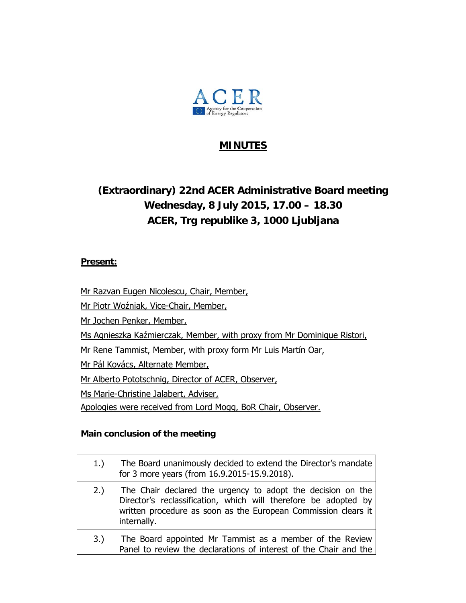

### **MINUTES**

# **(Extraordinary) 22nd ACER Administrative Board meeting Wednesday, 8 July 2015, 17.00 – 18.30 ACER, Trg republike 3, 1000 Ljubljana**

#### **Present:**

Mr Razvan Eugen Nicolescu, Chair, Member,

Mr Piotr Woźniak, Vice-Chair, Member,

Mr Jochen Penker, Member,

Ms Agnieszka Kaźmierczak, Member, with proxy from Mr Dominique Ristori,

Mr Rene Tammist, Member, with proxy form Mr Luis Martín Oar,

Mr Pál Kovács, Alternate Member,

Mr Alberto Pototschnig, Director of ACER, Observer,

Ms Marie-Christine Jalabert, Adviser,

Apologies were received from Lord Mogg, BoR Chair, Observer.

#### **Main conclusion of the meeting**

| 1.  | The Board unanimously decided to extend the Director's mandate<br>for 3 more years (from 16.9.2015-15.9.2018).                                                                                                  |
|-----|-----------------------------------------------------------------------------------------------------------------------------------------------------------------------------------------------------------------|
| 2.) | The Chair declared the urgency to adopt the decision on the<br>Director's reclassification, which will therefore be adopted by<br>written procedure as soon as the European Commission clears it<br>internally. |
| 3.) | The Board appointed Mr Tammist as a member of the Review<br>Panel to review the declarations of interest of the Chair and the                                                                                   |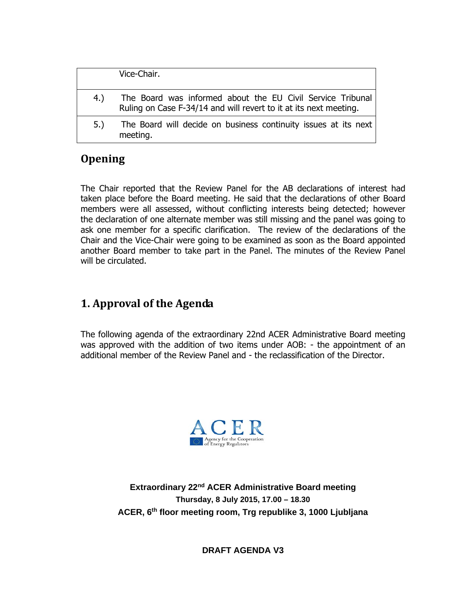|     | Vice-Chair.                                                                                                                     |
|-----|---------------------------------------------------------------------------------------------------------------------------------|
| 4.) | The Board was informed about the EU Civil Service Tribunal<br>Ruling on Case F-34/14 and will revert to it at its next meeting. |
| 5.  | The Board will decide on business continuity issues at its next<br>meeting.                                                     |

## **Opening**

The Chair reported that the Review Panel for the AB declarations of interest had taken place before the Board meeting. He said that the declarations of other Board members were all assessed, without conflicting interests being detected; however the declaration of one alternate member was still missing and the panel was going to ask one member for a specific clarification. The review of the declarations of the Chair and the Vice-Chair were going to be examined as soon as the Board appointed another Board member to take part in the Panel. The minutes of the Review Panel will be circulated.

# **1. Approval of the Agenda**

The following agenda of the extraordinary 22nd ACER Administrative Board meeting was approved with the addition of two items under AOB: - the appointment of an additional member of the Review Panel and - the reclassification of the Director.



**Extraordinary 22nd ACER Administrative Board meeting Thursday, 8 July 2015, 17.00 – 18.30 ACER, 6th floor meeting room, Trg republike 3, 1000 Ljubljana** 

**DRAFT AGENDA V3**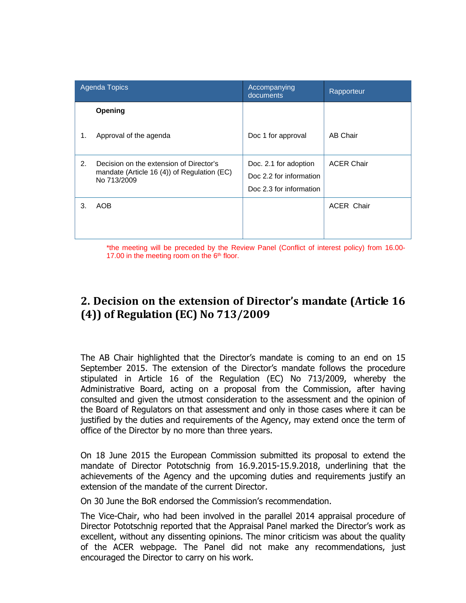| Agenda Topics |                                                                                                          | Accompanying<br>documents                                                   | Rapporteur        |
|---------------|----------------------------------------------------------------------------------------------------------|-----------------------------------------------------------------------------|-------------------|
|               | Opening                                                                                                  |                                                                             |                   |
| 1.            | Approval of the agenda                                                                                   | Doc 1 for approval                                                          | AB Chair          |
| 2.            | Decision on the extension of Director's<br>mandate (Article 16 $(4)$ ) of Regulation (EC)<br>No 713/2009 | Doc. 2.1 for adoption<br>Doc 2.2 for information<br>Doc 2.3 for information | <b>ACER Chair</b> |
| 3.            | AOB                                                                                                      |                                                                             | <b>ACER Chair</b> |

\*the meeting will be preceded by the Review Panel (Conflict of interest policy) from 16.00- 17.00 in the meeting room on the  $6<sup>th</sup>$  floor.

### **2. Decision on the extension of Director's mandate (Article 16 (4)) of Regulation (EC) No 713/2009**

The AB Chair highlighted that the Director's mandate is coming to an end on 15 September 2015. The extension of the Director's mandate follows the procedure stipulated in Article 16 of the Regulation (EC) No 713/2009, whereby the Administrative Board, acting on a proposal from the Commission, after having consulted and given the utmost consideration to the assessment and the opinion of the Board of Regulators on that assessment and only in those cases where it can be justified by the duties and requirements of the Agency, may extend once the term of office of the Director by no more than three years.

On 18 June 2015 the European Commission submitted its proposal to extend the mandate of Director Pototschnig from 16.9.2015-15.9.2018, underlining that the achievements of the Agency and the upcoming duties and requirements justify an extension of the mandate of the current Director.

On 30 June the BoR endorsed the Commission's recommendation.

The Vice-Chair, who had been involved in the parallel 2014 appraisal procedure of Director Pototschnig reported that the Appraisal Panel marked the Director's work as excellent, without any dissenting opinions. The minor criticism was about the quality of the ACER webpage. The Panel did not make any recommendations, just encouraged the Director to carry on his work.